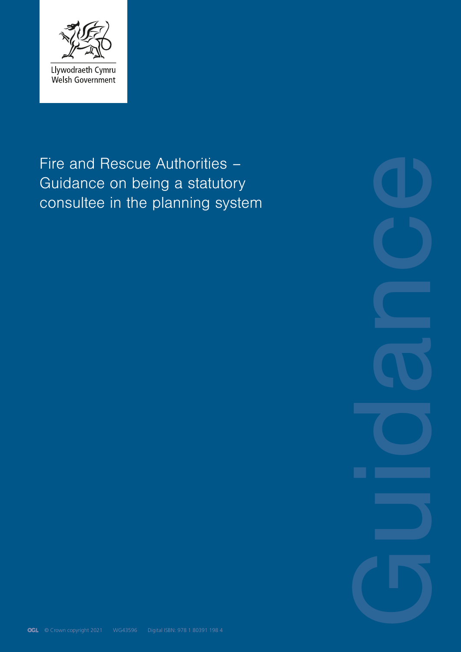

# Fire and Rescue Authorities – Guidance on being a statutory consultee in the planning system

**Guidance**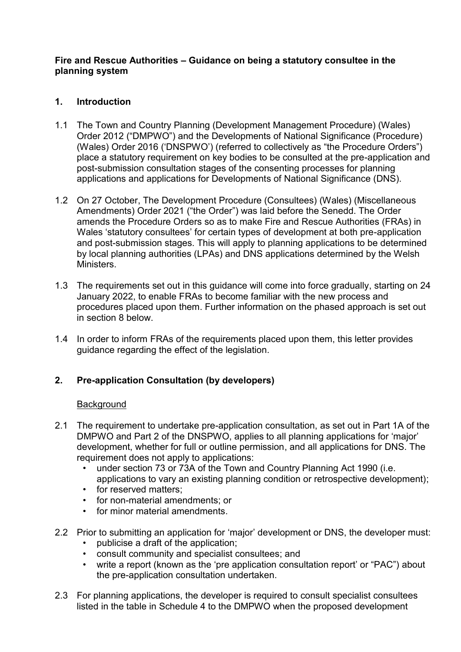## **Fire and Rescue Authorities – Guidance on being a statutory consultee in the planning system**

## **1. Introduction**

- 1.1 The Town and Country Planning (Development Management Procedure) (Wales) Order 2012 ("DMPWO") and the Developments of National Significance (Procedure) (Wales) Order 2016 ('DNSPWO') (referred to collectively as "the Procedure Orders") place a statutory requirement on key bodies to be consulted at the pre-application and post-submission consultation stages of the consenting processes for planning applications and applications for Developments of National Significance (DNS).
- 1.2 On 27 October, The Development Procedure (Consultees) (Wales) (Miscellaneous Amendments) Order 2021 ("the Order") was laid before the Senedd. The Order amends the Procedure Orders so as to make Fire and Rescue Authorities (FRAs) in Wales 'statutory consultees' for certain types of development at both pre-application and post-submission stages. This will apply to planning applications to be determined by local planning authorities (LPAs) and DNS applications determined by the Welsh Ministers.
- 1.3 The requirements set out in this guidance will come into force gradually, starting on 24 January 2022, to enable FRAs to become familiar with the new process and procedures placed upon them. Further information on the phased approach is set out in section 8 below.
- 1.4 In order to inform FRAs of the requirements placed upon them, this letter provides guidance regarding the effect of the legislation.

## **2. Pre-application Consultation (by developers)**

## **Background**

- 2.1 The requirement to undertake pre-application consultation, as set out in Part 1A of the DMPWO and Part 2 of the DNSPWO, applies to all planning applications for 'major' development, whether for full or outline permission, and all applications for DNS. The requirement does not apply to applications:
	- under section 73 or 73A of the Town and Country Planning Act 1990 (i.e. applications to vary an existing planning condition or retrospective development);
	- for reserved matters;
	- for non-material amendments; or
	- for minor material amendments.
- 2.2 Prior to submitting an application for 'major' development or DNS, the developer must:
	- publicise a draft of the application;
	- consult community and specialist consultees; and
	- write a report (known as the 'pre application consultation report' or "PAC") about the pre-application consultation undertaken.
- 2.3 For planning applications, the developer is required to consult specialist consultees listed in the table in Schedule 4 to the DMPWO when the proposed development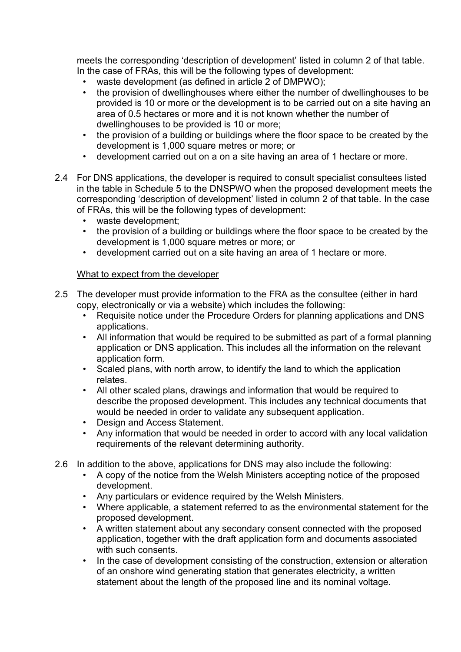meets the corresponding 'description of development' listed in column 2 of that table. In the case of FRAs, this will be the following types of development:

- waste development (as defined in article 2 of DMPWO);<br>• the provision of dwellinghouses where either the number
- the provision of dwellinghouses where either the number of dwellinghouses to be provided is 10 or more or the development is to be carried out on a site having an area of 0.5 hectares or more and it is not known whether the number of dwellinghouses to be provided is 10 or more;
- the provision of a building or buildings where the floor space to be created by the development is 1,000 square metres or more; or
- development carried out on a on a site having an area of 1 hectare or more.
- 2.4 For DNS applications, the developer is required to consult specialist consultees listed in the table in Schedule 5 to the DNSPWO when the proposed development meets the corresponding 'description of development' listed in column 2 of that table. In the case of FRAs, this will be the following types of development:
	- waste development;
	- the provision of a building or buildings where the floor space to be created by the development is 1,000 square metres or more; or
	- development carried out on a site having an area of 1 hectare or more.

## What to expect from the developer

- 2.5 The developer must provide information to the FRA as the consultee (either in hard copy, electronically or via a website) which includes the following:
	- Requisite notice under the Procedure Orders for planning applications and DNS applications.
	- All information that would be required to be submitted as part of a formal planning application or DNS application. This includes all the information on the relevant application form.
	- Scaled plans, with north arrow, to identify the land to which the application relates.
	- All other scaled plans, drawings and information that would be required to describe the proposed development. This includes any technical documents that would be needed in order to validate any subsequent application.
	- Design and Access Statement.
	- Any information that would be needed in order to accord with any local validation requirements of the relevant determining authority.
- 2.6 In addition to the above, applications for DNS may also include the following:
	- A copy of the notice from the Welsh Ministers accepting notice of the proposed development.
	- Any particulars or evidence required by the Welsh Ministers.
	- Where applicable, a statement referred to as the environmental statement for the proposed development.
	- A written statement about any secondary consent connected with the proposed application, together with the draft application form and documents associated with such consents.
	- In the case of development consisting of the construction, extension or alteration of an onshore wind generating station that generates electricity, a written statement about the length of the proposed line and its nominal voltage.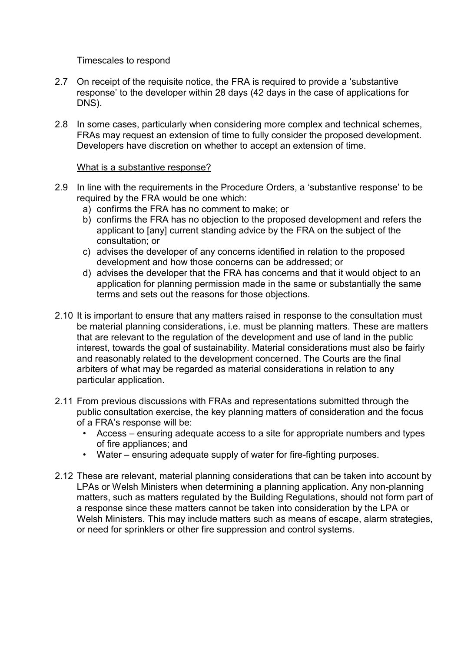#### Timescales to respond

- 2.7 On receipt of the requisite notice, the FRA is required to provide a 'substantive response' to the developer within 28 days (42 days in the case of applications for DNS).
- 2.8 In some cases, particularly when considering more complex and technical schemes, FRAs may request an extension of time to fully consider the proposed development. Developers have discretion on whether to accept an extension of time.

#### What is a substantive response?

- 2.9 In line with the requirements in the Procedure Orders, a 'substantive response' to be required by the FRA would be one which:
	- a) confirms the FRA has no comment to make; or
	- b) confirms the FRA has no objection to the proposed development and refers the applicant to [any] current standing advice by the FRA on the subject of the consultation; or
	- c) advises the developer of any concerns identified in relation to the proposed development and how those concerns can be addressed; or
	- d) advises the developer that the FRA has concerns and that it would object to an application for planning permission made in the same or substantially the same terms and sets out the reasons for those objections.
- 2.10 It is important to ensure that any matters raised in response to the consultation must be material planning considerations, i.e. must be planning matters. These are matters that are relevant to the regulation of the development and use of land in the public interest, towards the goal of sustainability. Material considerations must also be fairly and reasonably related to the development concerned. The Courts are the final arbiters of what may be regarded as material considerations in relation to any particular application.
- 2.11 From previous discussions with FRAs and representations submitted through the public consultation exercise, the key planning matters of consideration and the focus of a FRA's response will be:
	- Access ensuring adequate access to a site for appropriate numbers and types of fire appliances; and
	- Water ensuring adequate supply of water for fire-fighting purposes.
- 2.12 These are relevant, material planning considerations that can be taken into account by LPAs or Welsh Ministers when determining a planning application. Any non-planning matters, such as matters regulated by the Building Regulations, should not form part of a response since these matters cannot be taken into consideration by the LPA or Welsh Ministers. This may include matters such as means of escape, alarm strategies, or need for sprinklers or other fire suppression and control systems.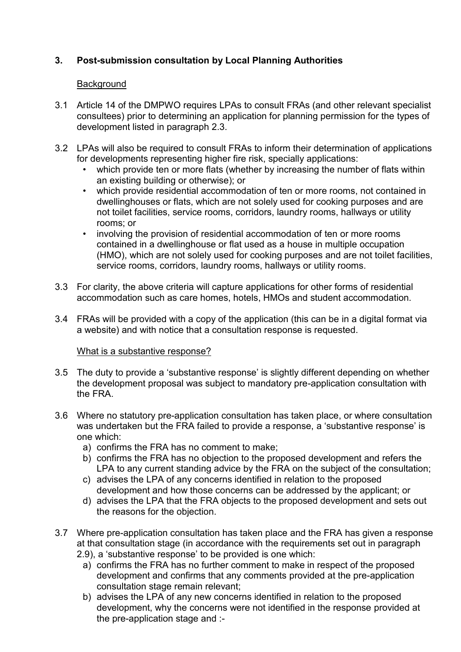# **3. Post-submission consultation by Local Planning Authorities**

## **Background**

- 3.1 Article 14 of the DMPWO requires LPAs to consult FRAs (and other relevant specialist consultees) prior to determining an application for planning permission for the types of development listed in paragraph 2.3.
- 3.2 LPAs will also be required to consult FRAs to inform their determination of applications for developments representing higher fire risk, specially applications:
	- which provide ten or more flats (whether by increasing the number of flats within an existing building or otherwise); or
	- which provide residential accommodation of ten or more rooms, not contained in dwellinghouses or flats, which are not solely used for cooking purposes and are not toilet facilities, service rooms, corridors, laundry rooms, hallways or utility rooms; or
	- involving the provision of residential accommodation of ten or more rooms contained in a dwellinghouse or flat used as a house in multiple occupation (HMO), which are not solely used for cooking purposes and are not toilet facilities, service rooms, corridors, laundry rooms, hallways or utility rooms.
- 3.3 For clarity, the above criteria will capture applications for other forms of residential accommodation such as care homes, hotels, HMOs and student accommodation.
- 3.4 FRAs will be provided with a copy of the application (this can be in a digital format via a website) and with notice that a consultation response is requested.

## What is a substantive response?

- 3.5 The duty to provide a 'substantive response' is slightly different depending on whether the development proposal was subject to mandatory pre-application consultation with the FRA.
- 3.6 Where no statutory pre-application consultation has taken place, or where consultation was undertaken but the FRA failed to provide a response, a 'substantive response' is one which:
	- a) confirms the FRA has no comment to make;
	- b) confirms the FRA has no objection to the proposed development and refers the LPA to any current standing advice by the FRA on the subject of the consultation;
	- c) advises the LPA of any concerns identified in relation to the proposed development and how those concerns can be addressed by the applicant; or
	- d) advises the LPA that the FRA objects to the proposed development and sets out the reasons for the objection.
- 3.7 Where pre-application consultation has taken place and the FRA has given a response at that consultation stage (in accordance with the requirements set out in paragraph 2.9), a 'substantive response' to be provided is one which:
	- a) confirms the FRA has no further comment to make in respect of the proposed development and confirms that any comments provided at the pre-application consultation stage remain relevant;
	- b) advises the LPA of any new concerns identified in relation to the proposed development, why the concerns were not identified in the response provided at the pre-application stage and :-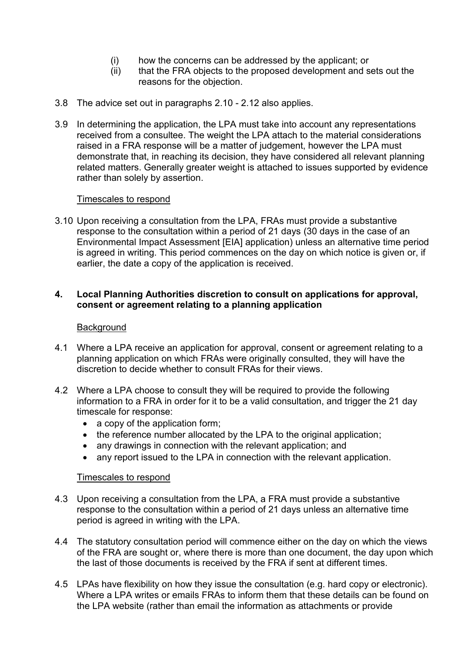- (i) how the concerns can be addressed by the applicant; or
- (ii) that the FRA objects to the proposed development and sets out the reasons for the objection.
- 3.8 The advice set out in paragraphs 2.10 2.12 also applies.
- 3.9 In determining the application, the LPA must take into account any representations received from a consultee. The weight the LPA attach to the material considerations raised in a FRA response will be a matter of judgement, however the LPA must demonstrate that, in reaching its decision, they have considered all relevant planning related matters. Generally greater weight is attached to issues supported by evidence rather than solely by assertion.

## Timescales to respond

3.10 Upon receiving a consultation from the LPA, FRAs must provide a substantive response to the consultation within a period of 21 days (30 days in the case of an Environmental Impact Assessment [EIA] application) unless an alternative time period is agreed in writing. This period commences on the day on which notice is given or, if earlier, the date a copy of the application is received.

## **4. Local Planning Authorities discretion to consult on applications for approval, consent or agreement relating to a planning application**

#### **Background**

- 4.1 Where a LPA receive an application for approval, consent or agreement relating to a planning application on which FRAs were originally consulted, they will have the discretion to decide whether to consult FRAs for their views.
- 4.2 Where a LPA choose to consult they will be required to provide the following information to a FRA in order for it to be a valid consultation, and trigger the 21 day timescale for response:
	- a copy of the application form:
	- the reference number allocated by the LPA to the original application;
	- any drawings in connection with the relevant application; and
	- any report issued to the LPA in connection with the relevant application.

#### Timescales to respond

- 4.3 Upon receiving a consultation from the LPA, a FRA must provide a substantive response to the consultation within a period of 21 days unless an alternative time period is agreed in writing with the LPA.
- 4.4 The statutory consultation period will commence either on the day on which the views of the FRA are sought or, where there is more than one document, the day upon which the last of those documents is received by the FRA if sent at different times.
- 4.5 LPAs have flexibility on how they issue the consultation (e.g. hard copy or electronic). Where a LPA writes or emails FRAs to inform them that these details can be found on the LPA website (rather than email the information as attachments or provide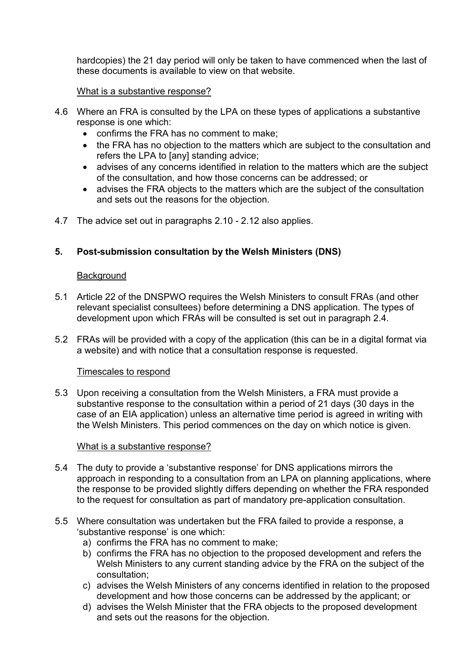hardcopies) the 21 day period will only be taken to have commenced when the last of these documents is available to view on that website.

## What is a substantive response?

- 4.6 Where an FRA is consulted by the LPA on these types of applications a substantive response is one which:
	- confirms the FRA has no comment to make;
	- the FRA has no objection to the matters which are subject to the consultation and refers the LPA to [any] standing advice;
	- advises of any concerns identified in relation to the matters which are the subject of the consultation, and how those concerns can be addressed; or
	- advises the FRA objects to the matters which are the subject of the consultation and sets out the reasons for the objection.
- 4.7 The advice set out in paragraphs 2.10 2.12 also applies.

# **5. Post-submission consultation by the Welsh Ministers (DNS)**

#### **Background**

- 5.1 Article 22 of the DNSPWO requires the Welsh Ministers to consult FRAs (and other relevant specialist consultees) before determining a DNS application. The types of development upon which FRAs will be consulted is set out in paragraph 2.4.
- 5.2 FRAs will be provided with a copy of the application (this can be in a digital format via a website) and with notice that a consultation response is requested.

#### Timescales to respond

5.3 Upon receiving a consultation from the Welsh Ministers, a FRA must provide a substantive response to the consultation within a period of 21 days (30 days in the case of an EIA application) unless an alternative time period is agreed in writing with the Welsh Ministers. This period commences on the day on which notice is given.

#### What is a substantive response?

- 5.4 The duty to provide a 'substantive response' for DNS applications mirrors the approach in responding to a consultation from an LPA on planning applications, where the response to be provided slightly differs depending on whether the FRA responded to the request for consultation as part of mandatory pre-application consultation.
- 5.5 Where consultation was undertaken but the FRA failed to provide a response, a 'substantive response' is one which:
	- a) confirms the FRA has no comment to make;
	- b) confirms the FRA has no objection to the proposed development and refers the Welsh Ministers to any current standing advice by the FRA on the subject of the consultation;
	- c) advises the Welsh Ministers of any concerns identified in relation to the proposed development and how those concerns can be addressed by the applicant; or
	- d) advises the Welsh Minister that the FRA objects to the proposed development and sets out the reasons for the objection.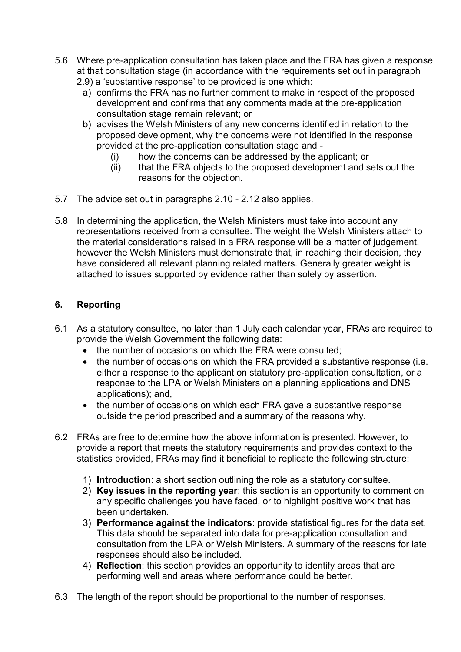- 5.6 Where pre-application consultation has taken place and the FRA has given a response at that consultation stage (in accordance with the requirements set out in paragraph
	- 2.9) a 'substantive response' to be provided is one which:
		- a) confirms the FRA has no further comment to make in respect of the proposed development and confirms that any comments made at the pre-application consultation stage remain relevant; or
		- b) advises the Welsh Ministers of any new concerns identified in relation to the proposed development, why the concerns were not identified in the response provided at the pre-application consultation stage and -
			- (i) how the concerns can be addressed by the applicant; or
			- (ii) that the FRA objects to the proposed development and sets out the reasons for the objection.
- 5.7 The advice set out in paragraphs 2.10 2.12 also applies.
- 5.8 In determining the application, the Welsh Ministers must take into account any representations received from a consultee. The weight the Welsh Ministers attach to the material considerations raised in a FRA response will be a matter of judgement, however the Welsh Ministers must demonstrate that, in reaching their decision, they have considered all relevant planning related matters. Generally greater weight is attached to issues supported by evidence rather than solely by assertion.

# **6. Reporting**

- 6.1 As a statutory consultee, no later than 1 July each calendar year, FRAs are required to provide the Welsh Government the following data:
	- the number of occasions on which the FRA were consulted:
	- the number of occasions on which the FRA provided a substantive response (i.e. either a response to the applicant on statutory pre-application consultation, or a response to the LPA or Welsh Ministers on a planning applications and DNS applications); and,
	- the number of occasions on which each FRA gave a substantive response outside the period prescribed and a summary of the reasons why.
- 6.2 FRAs are free to determine how the above information is presented. However, to provide a report that meets the statutory requirements and provides context to the statistics provided, FRAs may find it beneficial to replicate the following structure:
	- 1) **Introduction**: a short section outlining the role as a statutory consultee.
	- 2) **Key issues in the reporting year**: this section is an opportunity to comment on any specific challenges you have faced, or to highlight positive work that has been undertaken.
	- 3) **Performance against the indicators**: provide statistical figures for the data set. This data should be separated into data for pre-application consultation and consultation from the LPA or Welsh Ministers. A summary of the reasons for late responses should also be included.
	- 4) **Reflection**: this section provides an opportunity to identify areas that are performing well and areas where performance could be better.
- 6.3 The length of the report should be proportional to the number of responses.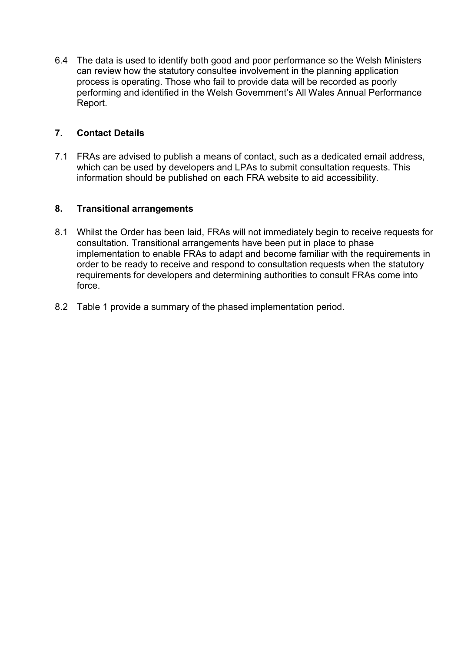6.4 The data is used to identify both good and poor performance so the Welsh Ministers can review how the statutory consultee involvement in the planning application process is operating. Those who fail to provide data will be recorded as poorly performing and identified in the Welsh Government's All Wales Annual Performance Report.

## **7. Contact Details**

7.1 FRAs are advised to publish a means of contact, such as a dedicated email address, which can be used by developers and LPAs to submit consultation requests. This information should be published on each FRA website to aid accessibility.

## **8. Transitional arrangements**

- 8.1 Whilst the Order has been laid, FRAs will not immediately begin to receive requests for consultation. Transitional arrangements have been put in place to phase implementation to enable FRAs to adapt and become familiar with the requirements in order to be ready to receive and respond to consultation requests when the statutory requirements for developers and determining authorities to consult FRAs come into force.
- 8.2 Table 1 provide a summary of the phased implementation period.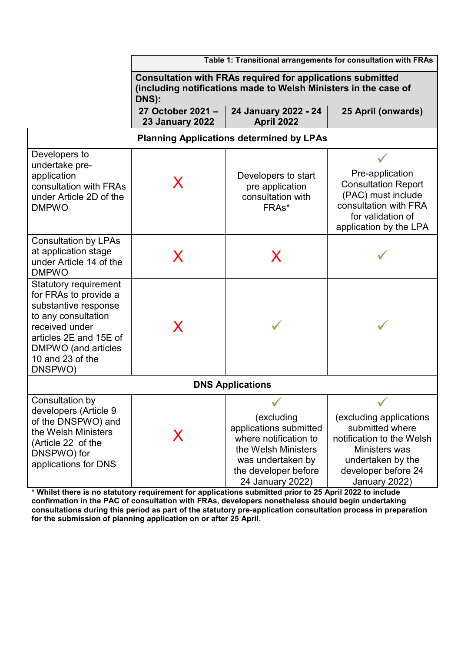|                                                                                                                                                                                                        | Table 1: Transitional arrangements for consultation with FRAs                                                                                 |                                                                                                                                                       |                                                                                                                                                       |
|--------------------------------------------------------------------------------------------------------------------------------------------------------------------------------------------------------|-----------------------------------------------------------------------------------------------------------------------------------------------|-------------------------------------------------------------------------------------------------------------------------------------------------------|-------------------------------------------------------------------------------------------------------------------------------------------------------|
|                                                                                                                                                                                                        | <b>Consultation with FRAs required for applications submitted</b><br>(including notifications made to Welsh Ministers in the case of<br>DNS): |                                                                                                                                                       |                                                                                                                                                       |
|                                                                                                                                                                                                        | 27 October 2021-<br><b>23 January 2022</b>                                                                                                    | 24 January 2022 - 24<br>April 2022                                                                                                                    | 25 April (onwards)                                                                                                                                    |
| <b>Planning Applications determined by LPAs</b>                                                                                                                                                        |                                                                                                                                               |                                                                                                                                                       |                                                                                                                                                       |
| Developers to<br>undertake pre-<br>application<br>consultation with FRAs<br>under Article 2D of the<br><b>DMPWO</b>                                                                                    | X                                                                                                                                             | Developers to start<br>pre application<br>consultation with<br>FRAs*                                                                                  | Pre-application<br><b>Consultation Report</b><br>(PAC) must include<br>consultation with FRA<br>for validation of<br>application by the LPA           |
| <b>Consultation by LPAs</b><br>at application stage<br>under Article 14 of the<br><b>DMPWO</b>                                                                                                         | X                                                                                                                                             | X                                                                                                                                                     |                                                                                                                                                       |
| <b>Statutory requirement</b><br>for FRAs to provide a<br>substantive response<br>to any consultation<br>received under<br>articles 2E and 15E of<br>DMPWO (and articles<br>10 and 23 of the<br>DNSPWO) | X                                                                                                                                             |                                                                                                                                                       |                                                                                                                                                       |
| <b>DNS Applications</b>                                                                                                                                                                                |                                                                                                                                               |                                                                                                                                                       |                                                                                                                                                       |
| Consultation by<br>developers (Article 9<br>of the DNSPWO) and<br>the Welsh Ministers<br>(Article 22 of the<br>DNSPWO) for<br>applications for DNS                                                     | X                                                                                                                                             | (excluding<br>applications submitted<br>where notification to<br>the Welsh Ministers<br>was undertaken by<br>the developer before<br>24 January 2022) | (excluding applications<br>submitted where<br>notification to the Welsh<br>Ministers was<br>undertaken by the<br>developer before 24<br>January 2022) |

**\* Whilst there is no statutory requirement for applications submitted prior to 25 April 2022 to include confirmation in the PAC of consultation with FRAs, developers nonetheless should begin undertaking consultations during this period as part of the statutory pre-application consultation process in preparation for the submission of planning application on or after 25 April.**